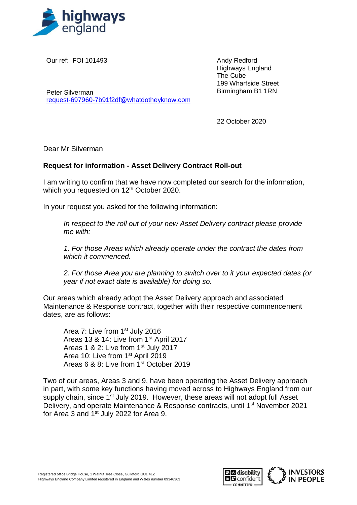

Our ref: FOI 101493

Andy Redford Highways England The Cube 199 Wharfside Street Birmingham B1 1RN

Peter Silverman [request-697960-7b91f2df@whatdotheyknow.com](mailto:xxxxxxxxxxxxxxxxxxxxxxx@xxxxxxxxxxxxxx.xxx)

22 October 2020

Dear Mr Silverman

## **Request for information - Asset Delivery Contract Roll-out**

I am writing to confirm that we have now completed our search for the information, which you requested on 12<sup>th</sup> October 2020.

In your request you asked for the following information:

*In respect to the roll out of your new Asset Delivery contract please provide me with:*

*1. For those Areas which already operate under the contract the dates from which it commenced.*

*2. For those Area you are planning to switch over to it your expected dates (or year if not exact date is available) for doing so.*

Our areas which already adopt the Asset Delivery approach and associated Maintenance & Response contract, together with their respective commencement dates, are as follows:

Area 7: Live from 1st July 2016 Areas 13 & 14: Live from 1st April 2017 Areas 1 & 2: Live from 1<sup>st</sup> July 2017 Area 10: Live from 1st April 2019 Areas 6 & 8: Live from 1st October 2019

Two of our areas, Areas 3 and 9, have been operating the Asset Delivery approach in part, with some key functions having moved across to Highways England from our supply chain, since 1<sup>st</sup> July 2019. However, these areas will not adopt full Asset Delivery, and operate Maintenance & Response contracts, until 1<sup>st</sup> November 2021 for Area 3 and 1st July 2022 for Area 9.

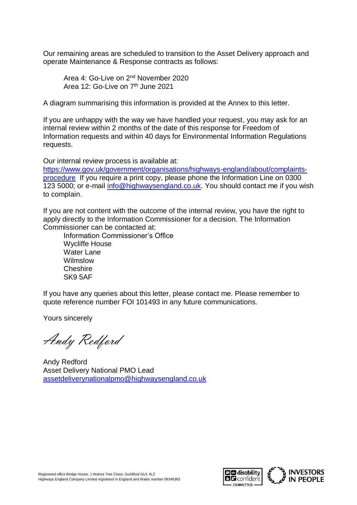Our remaining areas are scheduled to transition to the Asset Delivery approach and operate Maintenance & Response contracts as follows:

Area 4: Go-Live on 2nd November 2020 Area 12: Go-Live on 7<sup>th</sup> June 2021

A diagram summarising this information is provided at the Annex to this letter.

If you are unhappy with the way we have handled your request, you may ask for an internal review within 2 months of the date of this response for Freedom of Information requests and within 40 days for Environmental Information Regulations requests.

Our internal review process is available at:

[https://www.gov.uk/government/organisations/highways-england/about/complaints](https://www.gov.uk/government/organisations/highways-england/about/complaints-procedure)[procedure](https://www.gov.uk/government/organisations/highways-england/about/complaints-procedure) If you require a print copy, please phone the Information Line on 0300 123 5000; or e-mail [info@highwaysengland.co.uk.](mailto:xxxx@xxxxxxxxxxxxxxx.xx.xx) You should contact me if you wish to complain.

If you are not content with the outcome of the internal review, you have the right to apply directly to the Information Commissioner for a decision. The Information Commissioner can be contacted at:

Information Commissioner's Office Wycliffe House Water Lane Wilmslow **Cheshire** SK9 5AF

If you have any queries about this letter, please contact me. Please remember to quote reference number FOI 101493 in any future communications.

Yours sincerely

Andy Redford

Andy Redford Asset Delivery National PMO Lead [assetdeliverynationalpmo@highwaysengland.co.uk](mailto:xxxxxxxxxxxxxxxxxxxxxxxx@xxxxxxxxxxxxxxx.xx.xx)